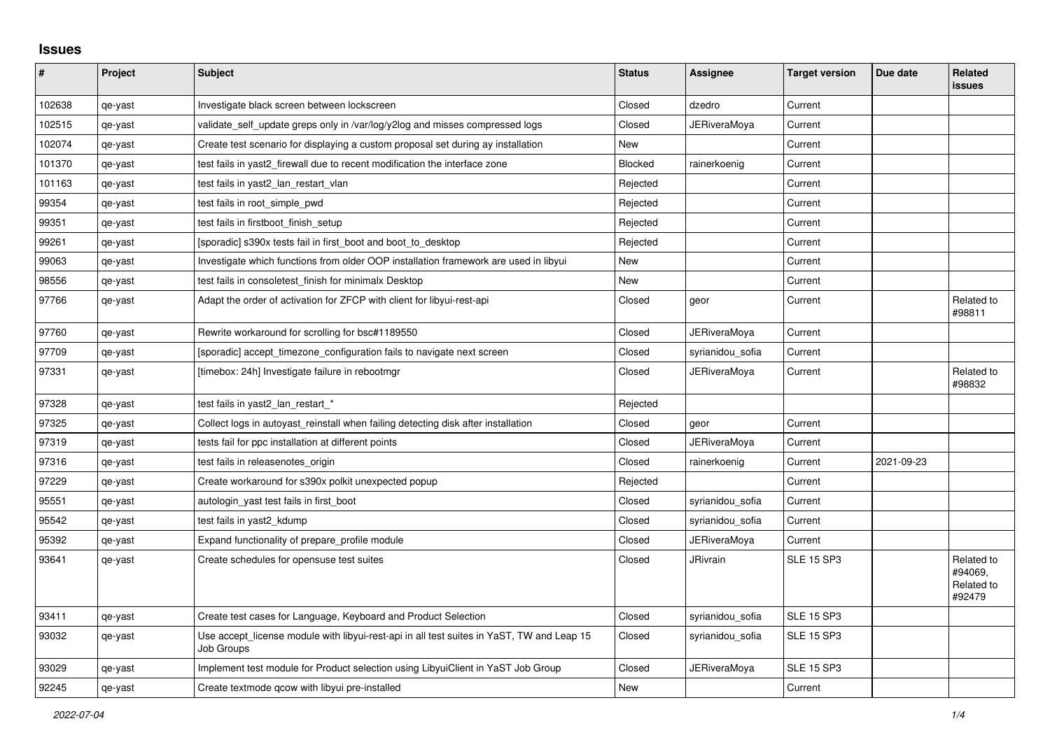## **Issues**

| #      | Project | <b>Subject</b>                                                                                          | <b>Status</b> | Assignee            | <b>Target version</b> | Due date   | Related<br><b>issues</b>                      |
|--------|---------|---------------------------------------------------------------------------------------------------------|---------------|---------------------|-----------------------|------------|-----------------------------------------------|
| 102638 | qe-yast | Investigate black screen between lockscreen                                                             | Closed        | dzedro              | Current               |            |                                               |
| 102515 | qe-yast | validate_self_update greps only in /var/log/y2log and misses compressed logs                            | Closed        | JERiveraMoya        | Current               |            |                                               |
| 102074 | qe-yast | Create test scenario for displaying a custom proposal set during ay installation                        | <b>New</b>    |                     | Current               |            |                                               |
| 101370 | qe-yast | test fails in yast2 firewall due to recent modification the interface zone                              | Blocked       | rainerkoenig        | Current               |            |                                               |
| 101163 | qe-yast | test fails in yast2_lan_restart_vlan                                                                    | Rejected      |                     | Current               |            |                                               |
| 99354  | qe-yast | test fails in root simple pwd                                                                           | Rejected      |                     | Current               |            |                                               |
| 99351  | qe-yast | test fails in firstboot_finish_setup                                                                    | Rejected      |                     | Current               |            |                                               |
| 99261  | qe-yast | [sporadic] s390x tests fail in first_boot and boot_to_desktop                                           | Rejected      |                     | Current               |            |                                               |
| 99063  | qe-yast | Investigate which functions from older OOP installation framework are used in libyui                    | <b>New</b>    |                     | Current               |            |                                               |
| 98556  | qe-yast | test fails in consoletest finish for minimalx Desktop                                                   | New           |                     | Current               |            |                                               |
| 97766  | qe-yast | Adapt the order of activation for ZFCP with client for libyui-rest-api                                  | Closed        | geor                | Current               |            | Related to<br>#98811                          |
| 97760  | qe-yast | Rewrite workaround for scrolling for bsc#1189550                                                        | Closed        | <b>JERiveraMoya</b> | Current               |            |                                               |
| 97709  | qe-yast | [sporadic] accept timezone configuration fails to navigate next screen                                  | Closed        | syrianidou_sofia    | Current               |            |                                               |
| 97331  | qe-yast | [timebox: 24h] Investigate failure in rebootmgr                                                         | Closed        | JERiveraMoya        | Current               |            | Related to<br>#98832                          |
| 97328  | qe-yast | test fails in yast2_lan_restart_*                                                                       | Rejected      |                     |                       |            |                                               |
| 97325  | qe-yast | Collect logs in autoyast reinstall when failing detecting disk after installation                       | Closed        | geor                | Current               |            |                                               |
| 97319  | qe-yast | tests fail for ppc installation at different points                                                     | Closed        | <b>JERiveraMoya</b> | Current               |            |                                               |
| 97316  | qe-yast | test fails in releasenotes_origin                                                                       | Closed        | rainerkoenig        | Current               | 2021-09-23 |                                               |
| 97229  | qe-yast | Create workaround for s390x polkit unexpected popup                                                     | Rejected      |                     | Current               |            |                                               |
| 95551  | qe-yast | autologin_yast test fails in first_boot                                                                 | Closed        | syrianidou sofia    | Current               |            |                                               |
| 95542  | qe-yast | test fails in yast2_kdump                                                                               | Closed        | syrianidou_sofia    | Current               |            |                                               |
| 95392  | qe-yast | Expand functionality of prepare profile module                                                          | Closed        | <b>JERiveraMova</b> | Current               |            |                                               |
| 93641  | qe-yast | Create schedules for opensuse test suites                                                               | Closed        | <b>JRivrain</b>     | <b>SLE 15 SP3</b>     |            | Related to<br>#94069.<br>Related to<br>#92479 |
| 93411  | qe-yast | Create test cases for Language, Keyboard and Product Selection                                          | Closed        | syrianidou_sofia    | <b>SLE 15 SP3</b>     |            |                                               |
| 93032  | qe-yast | Use accept_license module with libyui-rest-api in all test suites in YaST, TW and Leap 15<br>Job Groups | Closed        | syrianidou_sofia    | <b>SLE 15 SP3</b>     |            |                                               |
| 93029  | qe-yast | Implement test module for Product selection using LibyuiClient in YaST Job Group                        | Closed        | JERiveraMoya        | <b>SLE 15 SP3</b>     |            |                                               |
| 92245  | qe-yast | Create textmode gcow with libyui pre-installed                                                          | New           |                     | Current               |            |                                               |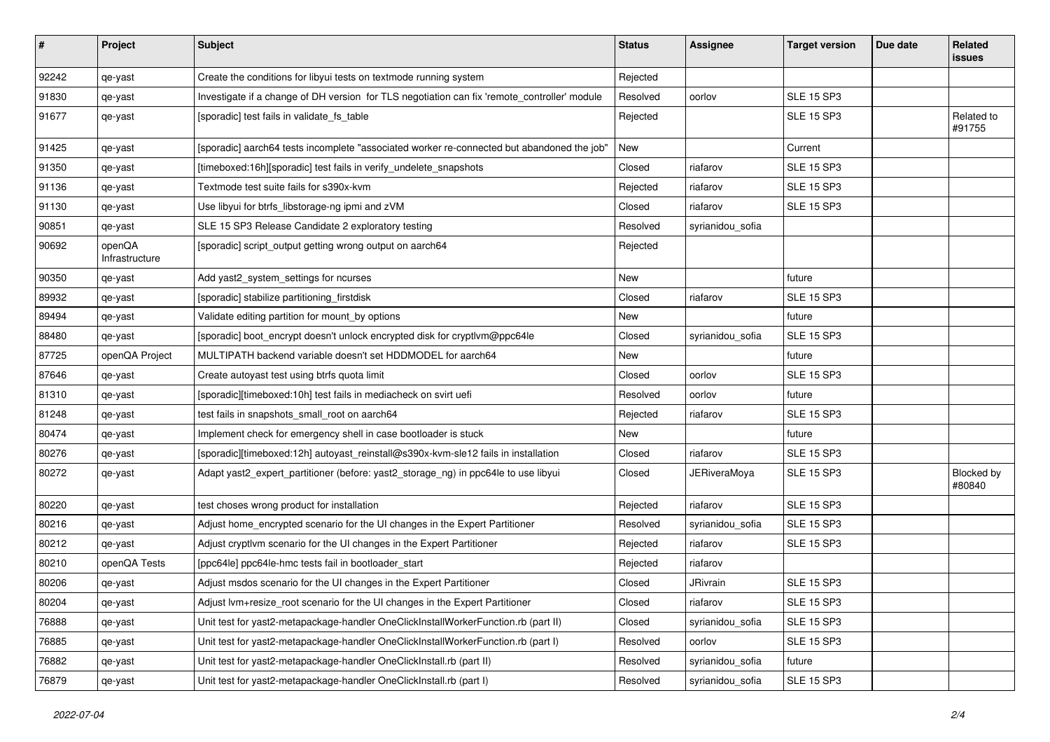| $\vert$ # | Project                  | <b>Subject</b>                                                                               | <b>Status</b> | <b>Assignee</b>     | <b>Target version</b> | Due date | Related<br><b>issues</b> |
|-----------|--------------------------|----------------------------------------------------------------------------------------------|---------------|---------------------|-----------------------|----------|--------------------------|
| 92242     | qe-yast                  | Create the conditions for libyui tests on textmode running system                            | Rejected      |                     |                       |          |                          |
| 91830     | qe-yast                  | Investigate if a change of DH version for TLS negotiation can fix 'remote_controller' module | Resolved      | oorlov              | <b>SLE 15 SP3</b>     |          |                          |
| 91677     | qe-yast                  | [sporadic] test fails in validate_fs_table                                                   | Rejected      |                     | <b>SLE 15 SP3</b>     |          | Related to<br>#91755     |
| 91425     | qe-yast                  | [sporadic] aarch64 tests incomplete "associated worker re-connected but abandoned the job"   | New           |                     | Current               |          |                          |
| 91350     | qe-yast                  | [timeboxed:16h][sporadic] test fails in verify_undelete_snapshots                            | Closed        | riafarov            | <b>SLE 15 SP3</b>     |          |                          |
| 91136     | qe-yast                  | Textmode test suite fails for s390x-kvm                                                      | Rejected      | riafarov            | <b>SLE 15 SP3</b>     |          |                          |
| 91130     | qe-yast                  | Use libyui for btrfs_libstorage-ng ipmi and zVM                                              | Closed        | riafarov            | <b>SLE 15 SP3</b>     |          |                          |
| 90851     | qe-yast                  | SLE 15 SP3 Release Candidate 2 exploratory testing                                           | Resolved      | syrianidou_sofia    |                       |          |                          |
| 90692     | openQA<br>Infrastructure | [sporadic] script_output getting wrong output on aarch64                                     | Rejected      |                     |                       |          |                          |
| 90350     | qe-yast                  | Add yast2_system_settings for ncurses                                                        | New           |                     | future                |          |                          |
| 89932     | qe-yast                  | [sporadic] stabilize partitioning_firstdisk                                                  | Closed        | riafarov            | <b>SLE 15 SP3</b>     |          |                          |
| 89494     | qe-yast                  | Validate editing partition for mount_by options                                              | New           |                     | future                |          |                          |
| 88480     | qe-yast                  | [sporadic] boot_encrypt doesn't unlock encrypted disk for cryptlvm@ppc64le                   | Closed        | syrianidou_sofia    | <b>SLE 15 SP3</b>     |          |                          |
| 87725     | openQA Project           | MULTIPATH backend variable doesn't set HDDMODEL for aarch64                                  | New           |                     | future                |          |                          |
| 87646     | qe-yast                  | Create autoyast test using btrfs quota limit                                                 | Closed        | oorlov              | <b>SLE 15 SP3</b>     |          |                          |
| 81310     | qe-yast                  | [sporadic][timeboxed:10h] test fails in mediacheck on svirt uefi                             | Resolved      | oorlov              | future                |          |                          |
| 81248     | qe-yast                  | test fails in snapshots_small_root on aarch64                                                | Rejected      | riafarov            | <b>SLE 15 SP3</b>     |          |                          |
| 80474     | qe-yast                  | Implement check for emergency shell in case bootloader is stuck                              | New           |                     | future                |          |                          |
| 80276     | qe-yast                  | [sporadic][timeboxed:12h] autoyast_reinstall@s390x-kvm-sle12 fails in installation           | Closed        | riafarov            | <b>SLE 15 SP3</b>     |          |                          |
| 80272     | qe-yast                  | Adapt yast2_expert_partitioner (before: yast2_storage_ng) in ppc64le to use libyui           | Closed        | <b>JERiveraMoya</b> | <b>SLE 15 SP3</b>     |          | Blocked by<br>#80840     |
| 80220     | qe-yast                  | test choses wrong product for installation                                                   | Rejected      | riafarov            | <b>SLE 15 SP3</b>     |          |                          |
| 80216     | qe-yast                  | Adjust home_encrypted scenario for the UI changes in the Expert Partitioner                  | Resolved      | syrianidou_sofia    | <b>SLE 15 SP3</b>     |          |                          |
| 80212     | qe-yast                  | Adjust cryptivm scenario for the UI changes in the Expert Partitioner                        | Rejected      | riafarov            | <b>SLE 15 SP3</b>     |          |                          |
| 80210     | openQA Tests             | [ppc64le] ppc64le-hmc tests fail in bootloader_start                                         | Rejected      | riafarov            |                       |          |                          |
| 80206     | qe-yast                  | Adjust msdos scenario for the UI changes in the Expert Partitioner                           | Closed        | JRivrain            | <b>SLE 15 SP3</b>     |          |                          |
| 80204     | qe-yast                  | Adjust lvm+resize_root scenario for the UI changes in the Expert Partitioner                 | Closed        | riafarov            | <b>SLE 15 SP3</b>     |          |                          |
| 76888     | qe-yast                  | Unit test for yast2-metapackage-handler OneClickInstallWorkerFunction.rb (part II)           | Closed        | syrianidou_sofia    | <b>SLE 15 SP3</b>     |          |                          |
| 76885     | qe-yast                  | Unit test for yast2-metapackage-handler OneClickInstallWorkerFunction.rb (part I)            | Resolved      | oorlov              | <b>SLE 15 SP3</b>     |          |                          |
| 76882     | qe-yast                  | Unit test for yast2-metapackage-handler OneClickInstall.rb (part II)                         | Resolved      | syrianidou_sofia    | future                |          |                          |
| 76879     | qe-yast                  | Unit test for yast2-metapackage-handler OneClickInstall.rb (part I)                          | Resolved      | syrianidou_sofia    | <b>SLE 15 SP3</b>     |          |                          |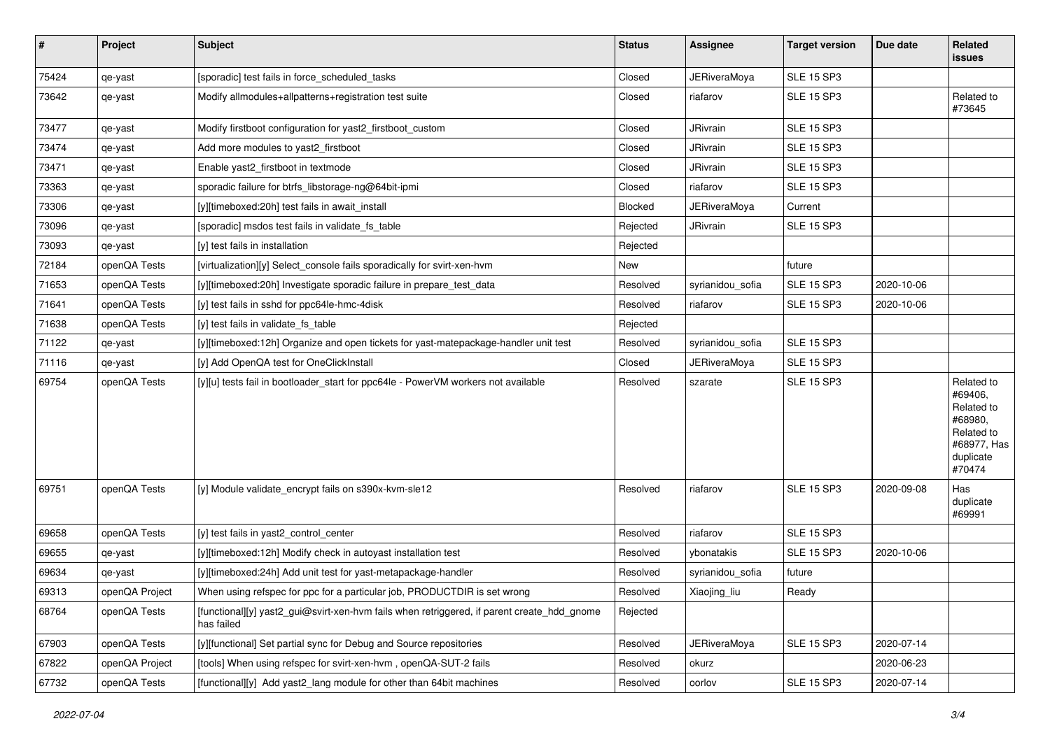| #     | Project        | Subject                                                                                                  | <b>Status</b> | Assignee            | <b>Target version</b> | Due date   | Related<br>issues                                                                                  |
|-------|----------------|----------------------------------------------------------------------------------------------------------|---------------|---------------------|-----------------------|------------|----------------------------------------------------------------------------------------------------|
| 75424 | qe-yast        | [sporadic] test fails in force_scheduled_tasks                                                           | Closed        | <b>JERiveraMoya</b> | <b>SLE 15 SP3</b>     |            |                                                                                                    |
| 73642 | qe-yast        | Modify allmodules+allpatterns+registration test suite                                                    | Closed        | riafarov            | <b>SLE 15 SP3</b>     |            | Related to<br>#73645                                                                               |
| 73477 | qe-yast        | Modify firstboot configuration for yast2_firstboot_custom                                                | Closed        | JRivrain            | <b>SLE 15 SP3</b>     |            |                                                                                                    |
| 73474 | qe-yast        | Add more modules to yast2 firstboot                                                                      | Closed        | <b>JRivrain</b>     | <b>SLE 15 SP3</b>     |            |                                                                                                    |
| 73471 | qe-yast        | Enable yast2_firstboot in textmode                                                                       | Closed        | <b>JRivrain</b>     | <b>SLE 15 SP3</b>     |            |                                                                                                    |
| 73363 | qe-yast        | sporadic failure for btrfs libstorage-ng@64bit-ipmi                                                      | Closed        | riafarov            | <b>SLE 15 SP3</b>     |            |                                                                                                    |
| 73306 | qe-yast        | [y][timeboxed:20h] test fails in await_install                                                           | Blocked       | JERiveraMoya        | Current               |            |                                                                                                    |
| 73096 | qe-yast        | [sporadic] msdos test fails in validate_fs_table                                                         | Rejected      | <b>JRivrain</b>     | <b>SLE 15 SP3</b>     |            |                                                                                                    |
| 73093 | qe-yast        | [y] test fails in installation                                                                           | Rejected      |                     |                       |            |                                                                                                    |
| 72184 | openQA Tests   | [virtualization][y] Select_console fails sporadically for svirt-xen-hvm                                  | New           |                     | future                |            |                                                                                                    |
| 71653 | openQA Tests   | [y][timeboxed:20h] Investigate sporadic failure in prepare test data                                     | Resolved      | syrianidou_sofia    | <b>SLE 15 SP3</b>     | 2020-10-06 |                                                                                                    |
| 71641 | openQA Tests   | [y] test fails in sshd for ppc64le-hmc-4disk                                                             | Resolved      | riafarov            | <b>SLE 15 SP3</b>     | 2020-10-06 |                                                                                                    |
| 71638 | openQA Tests   | [y] test fails in validate_fs_table                                                                      | Rejected      |                     |                       |            |                                                                                                    |
| 71122 | qe-yast        | [y][timeboxed:12h] Organize and open tickets for yast-matepackage-handler unit test                      | Resolved      | syrianidou_sofia    | <b>SLE 15 SP3</b>     |            |                                                                                                    |
| 71116 | qe-yast        | [y] Add OpenQA test for OneClickInstall                                                                  | Closed        | JERiveraMoya        | <b>SLE 15 SP3</b>     |            |                                                                                                    |
| 69754 | openQA Tests   | [y][u] tests fail in bootloader_start for ppc64le - PowerVM workers not available                        | Resolved      | szarate             | <b>SLE 15 SP3</b>     |            | Related to<br>#69406,<br>Related to<br>#68980,<br>Related to<br>#68977, Has<br>duplicate<br>#70474 |
| 69751 | openQA Tests   | [y] Module validate_encrypt fails on s390x-kvm-sle12                                                     | Resolved      | riafarov            | <b>SLE 15 SP3</b>     | 2020-09-08 | Has<br>duplicate<br>#69991                                                                         |
| 69658 | openQA Tests   | [y] test fails in yast2_control_center                                                                   | Resolved      | riafarov            | <b>SLE 15 SP3</b>     |            |                                                                                                    |
| 69655 | qe-yast        | [y][timeboxed:12h] Modify check in autoyast installation test                                            | Resolved      | ybonatakis          | <b>SLE 15 SP3</b>     | 2020-10-06 |                                                                                                    |
| 69634 | qe-yast        | [y][timeboxed:24h] Add unit test for yast-metapackage-handler                                            | Resolved      | syrianidou_sofia    | future                |            |                                                                                                    |
| 69313 | openQA Project | When using refspec for ppc for a particular job, PRODUCTDIR is set wrong                                 | Resolved      | Xiaojing_liu        | Ready                 |            |                                                                                                    |
| 68764 | openQA Tests   | [functional][y] yast2_gui@svirt-xen-hvm fails when retriggered, if parent create_hdd_gnome<br>has failed | Rejected      |                     |                       |            |                                                                                                    |
| 67903 | openQA Tests   | [y][functional] Set partial sync for Debug and Source repositories                                       | Resolved      | <b>JERiveraMoya</b> | <b>SLE 15 SP3</b>     | 2020-07-14 |                                                                                                    |
| 67822 | openQA Project | [tools] When using refspec for svirt-xen-hvm, openQA-SUT-2 fails                                         | Resolved      | okurz               |                       | 2020-06-23 |                                                                                                    |
| 67732 | openQA Tests   | [functional][y] Add yast2_lang module for other than 64bit machines                                      | Resolved      | oorlov              | <b>SLE 15 SP3</b>     | 2020-07-14 |                                                                                                    |